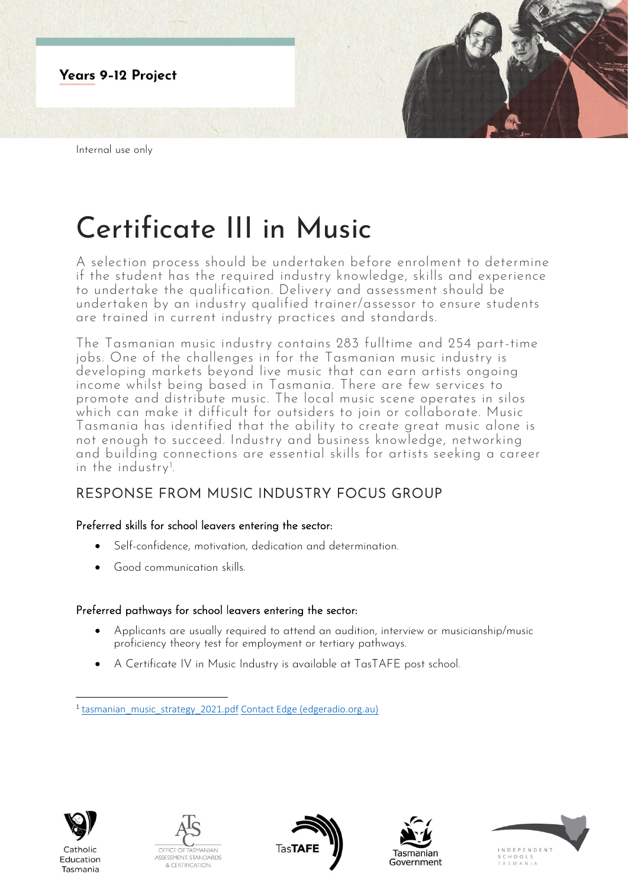

## Certificate III in Music

A selection process should be undertaken before enrolment to determine if the student has the required industry knowledge, skills and experience to undertake the qualification. Delivery and assessment should be undertaken by an industry qualified trainer/assessor to ensure students are trained in current industry practices and standards.

The Tasmanian music industry contains 283 fulltime and 254 part-time jobs. One of the challenges in for the Tasmanian music industry is developing markets beyond live music that can earn artists ongoing income whilst being based in Tasmania. There are few services to promote and distribute music. The local music scene operates in silos which can make it difficult for outsiders to join or collaborate. Music Tasmania has identified that the ability to create great music alone is not enough to succeed. Industry and business knowledge, networking and building connections are essential skills for artists seeking a career in the industry<sup>1</sup>. .

## RESPONSE FROM MUSIC INDUSTRY FOCUS GROUP

## Preferred skills for school leavers entering the sector:

- Self-confidence, motivation, dedication and determination.
- Good communication skills.

## Preferred pathways for school leavers entering the sector:

- Applicants are usually required to attend an audition, interview or musicianship/music proficiency theory test for employment or tertiary pathways.
- A Certificate IV in Music Industry is available at TasTAFE post school.



Catholic Education Tasmania









<sup>&</sup>lt;sup>1</sup> [tasmanian\\_music\\_strategy\\_2021.pdf](file:///C:/Users/tracey.taylor1/OneDrive%20-%20Department%20of%20Education/Desktop/tasmanian_music_strategy_2021.pdf) [Contact Edge \(edgeradio.org.au\)](https://www.edgeradio.org.au/contact-edge.html)